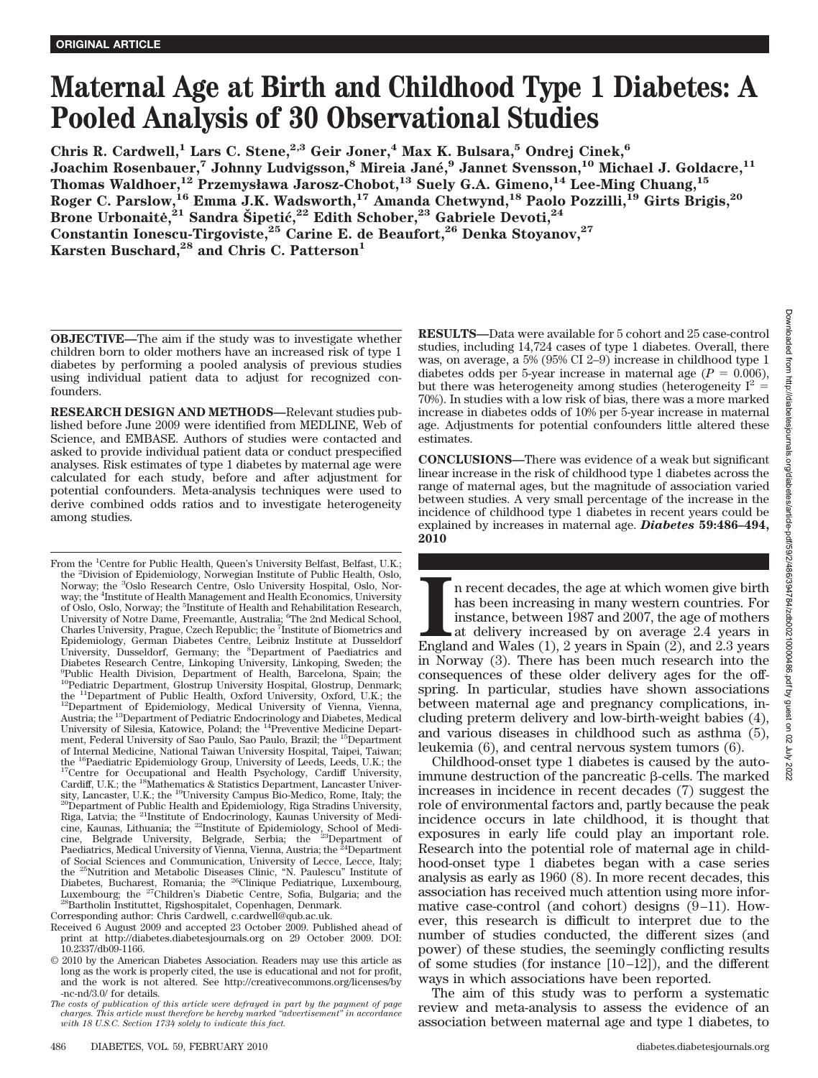# **Maternal Age at Birth and Childhood Type 1 Diabetes: A Pooled Analysis of 30 Observational Studies**

**Chris R. Cardwell,1 Lars C. Stene,2,3 Geir Joner,4 Max K. Bulsara,5 Ondrej Cinek,6 Joachim Rosenbauer,7 Johnny Ludvigsson,8 Mireia Jane´,9 Jannet Svensson,10 Michael J. Goldacre,11 Thomas Waldhoer,12 Przemysława Jarosz-Chobot,13 Suely G.A. Gimeno,14 Lee-Ming Chuang,15 Roger C. Parslow,16 Emma J.K. Wadsworth,17 Amanda Chetwynd,18 Paolo Pozzilli,19 Girts Brigis,20 Brone Urbonaite, <sup>21</sup> Sandra Sˇipetic´,22 Edith Schober,23 Gabriele Devoti,24 Constantin Ionescu-Tirgoviste,25 Carine E. de Beaufort,26 Denka Stoyanov,27** Karsten Buschard,<sup>28</sup> and Chris C. Patterson<sup>1</sup>

**OBJECTIVE—**The aim if the study was to investigate whether children born to older mothers have an increased risk of type 1 diabetes by performing a pooled analysis of previous studies using individual patient data to adjust for recognized confounders.

**RESEARCH DESIGN AND METHODS—**Relevant studies published before June 2009 were identified from MEDLINE, Web of Science, and EMBASE. Authors of studies were contacted and asked to provide individual patient data or conduct prespecified analyses. Risk estimates of type 1 diabetes by maternal age were calculated for each study, before and after adjustment for potential confounders. Meta-analysis techniques were used to derive combined odds ratios and to investigate heterogeneity among studies.

From the <sup>1</sup>Centre for Public Health, Queen's University Belfast, Belfast, U.K.; the <sup>2</sup> Division of Epidemiology, Norwegian Institute of Public Health, Oslo, Norway; the <sup>3</sup>Oslo Research Centre, Oslo University Hospital, Oslo, Norway; the <sup>4</sup> Institute of Health Management and Health Economics, University of Oslo, Oslo, Norway; the <sup>5</sup>Institute of Health and Rehabilitation Research, University of Notre Dame, Freemantle, Australia; <sup>6</sup>The 2nd Medical School,<br>Charles University, Prague, Czech Republic; the <sup>7</sup>Institute of Biometrics and Epidemiology, German Diabetes Centre, Leibniz Institute at Dusseldorf<br>University, Dusseldorf, Germany; the <sup>8</sup>Department of Paediatrics and Diabetes Research Centre, Linkoping University, Linkoping, Sweden; the 9 Public Health Division, Department of Health, Barcelona, Spain; the <sup>10</sup>Pediatric Department, Glostrup University Hospital, Glostrup, Denmark; the 11Department of Public Health, Oxford University, Oxford, U.K.; the 12Department of Epidemiology, Medical University of Vienna, Vienna, Austria; the 13Department of Pediatric Endocrinology and Diabetes, Medical University of Silesia, Katowice, Poland; the 14Preventive Medicine Department, Federal University of Sao Paulo, Sao Paulo, Brazil; the 15Department of Internal Medicine, National Taiwan University Hospital, Taipei, Taiwan;<br>the <sup>16</sup>Paediatric Epidemiology Group, University of Leeds, Leeds, U.K.; the <sup>17</sup>Centre for Occupational and Health Psychology, Cardiff University, Cardiff, U.K.; the <sup>18</sup>Mathematics & Statistics Department, Lancaster University, Lancaster, U.K.; the <sup>19</sup>University Campus Bio-Medico, Rome, Italy; the <sup>20</sup>Department of Public Health and Epidemiology, Riga Stradins University, Riga, Latvia; the <sup>21</sup>Institute of Endocrinology, Kaunas University of Medicine, Kaunas, Lithuania; the 22Institute of Epidemiology, School of Medicine, Belgrade University, Belgrade, Serbia; the 23Department of Paediatrics, Medical University of Vienna, Vienna, Austria; the <sup>24</sup>Department of Social Sciences and Communication, University of Lecce, Lecce, Italy; the 25Nutrition and Metabolic Diseases Clinic, "N. Paulescu" Institute of Diabetes, Bucharest, Romania; the <sup>26</sup>Clinique Pediatrique, Luxembourg, Luxembourg; the <sup>27</sup>Children's Diabetic Centre, Sofia, Bulgaria; and the<br><sup>28</sup>Bartholin Instituttet, Rigshospitalet, Copenhagen, Denmark.

Corresponding author: Chris Cardwell, c.cardwell@qub.ac.uk.

- Received 6 August 2009 and accepted 23 October 2009. Published ahead of print at http://diabetes.diabetesjournals.org on 29 October 2009. DOI: 10.2337/db09-1166.
- © 2010 by the American Diabetes Association. Readers may use this article as long as the work is properly cited, the use is educational and not for profit, and the work is not altered. See http://creativecommons.org/licenses/by -nc-nd/3.0/ for details.
- *The costs of publication of this article were defrayed in part by the payment of page charges. This article must therefore be hereby marked "advertisement" in accordance with 18 U.S.C. Section 1734 solely to indicate this fact.*

**RESULTS—**Data were available for 5 cohort and 25 case-control studies, including 14,724 cases of type 1 diabetes. Overall, there was, on average, a 5% (95% CI 2–9) increase in childhood type 1 diabetes odds per 5-year increase in maternal age  $(P = 0.006)$ , but there was heterogeneity among studies (heterogeneity  $I^2 =$ 70%). In studies with a low risk of bias, there was a more marked increase in diabetes odds of 10% per 5-year increase in maternal age. Adjustments for potential confounders little altered these estimates.

**CONCLUSIONS—**There was evidence of a weak but significant linear increase in the risk of childhood type 1 diabetes across the range of maternal ages, but the magnitude of association varied between studies. A very small percentage of the increase in the incidence of childhood type 1 diabetes in recent years could be explained by increases in maternal age. *Diabetes* **59:486–494, 2010**

I**I** In recent decades, the age at which women give birth has been increasing in many western countries. For instance, between 1987 and 2007, the age of mothers at delivery increased by on average 2.4 years in England and n recent decades, the age at which women give birth has been increasing in many western countries. For instance, between 1987 and 2007, the age of mothers at delivery increased by on average 2.4 years in in Norway (3). There has been much research into the consequences of these older delivery ages for the offspring. In particular, studies have shown associations between maternal age and pregnancy complications, including preterm delivery and low-birth-weight babies (4), and various diseases in childhood such as asthma (5), leukemia (6), and central nervous system tumors (6).

Childhood-onset type 1 diabetes is caused by the autoimmune destruction of the pancreatic  $\beta$ -cells. The marked increases in incidence in recent decades (7) suggest the role of environmental factors and, partly because the peak incidence occurs in late childhood, it is thought that exposures in early life could play an important role. Research into the potential role of maternal age in childhood-onset type 1 diabetes began with a case series analysis as early as 1960 (8). In more recent decades, this association has received much attention using more informative case-control (and cohort) designs  $(9-11)$ . However, this research is difficult to interpret due to the number of studies conducted, the different sizes (and power) of these studies, the seemingly conflicting results of some studies (for instance  $[10-12]$ ), and the different ways in which associations have been reported.

The aim of this study was to perform a systematic review and meta-analysis to assess the evidence of an association between maternal age and type 1 diabetes, to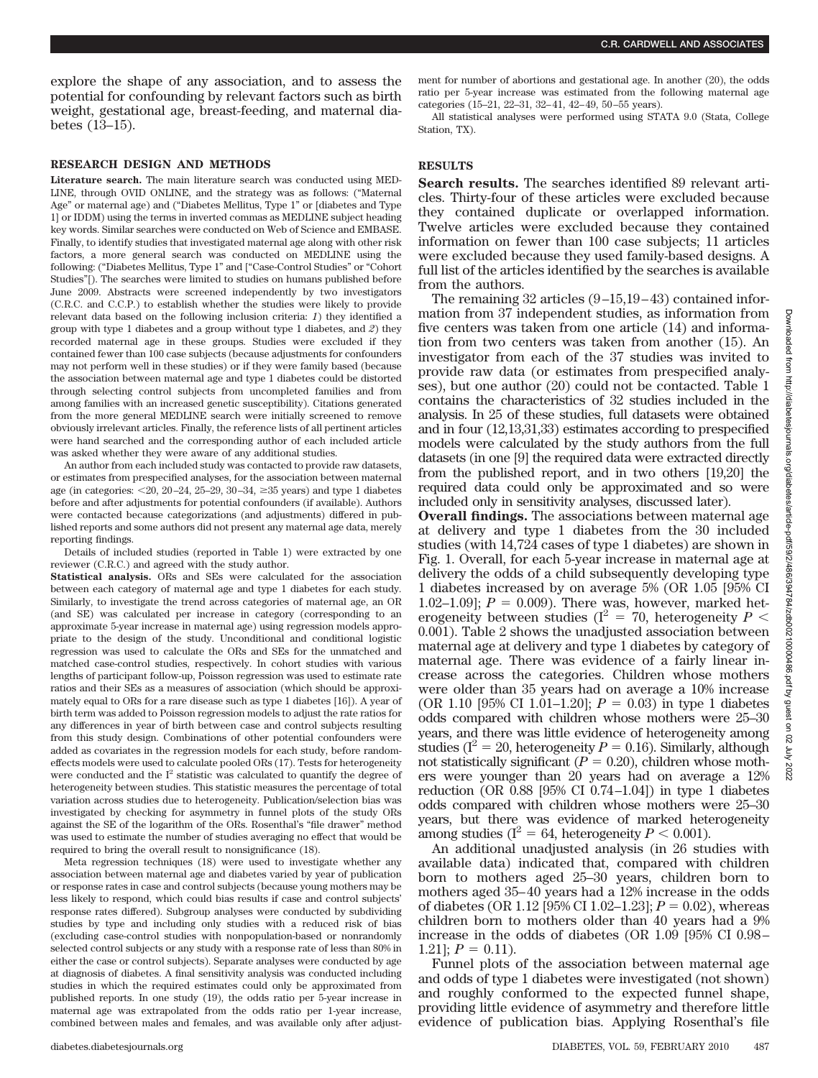explore the shape of any association, and to assess the potential for confounding by relevant factors such as birth weight, gestational age, breast-feeding, and maternal diabetes (13–15).

#### **RESEARCH DESIGN AND METHODS**

**Literature search.** The main literature search was conducted using MED-LINE, through OVID ONLINE, and the strategy was as follows: ("Maternal Age" or maternal age) and ("Diabetes Mellitus, Type 1" or [diabetes and Type 1] or IDDM) using the terms in inverted commas as MEDLINE subject heading key words. Similar searches were conducted on Web of Science and EMBASE. Finally, to identify studies that investigated maternal age along with other risk factors, a more general search was conducted on MEDLINE using the following: ("Diabetes Mellitus, Type 1" and ["Case-Control Studies" or "Cohort Studies"[). The searches were limited to studies on humans published before June 2009. Abstracts were screened independently by two investigators (C.R.C. and C.C.P.) to establish whether the studies were likely to provide relevant data based on the following inclusion criteria: *1*) they identified a group with type 1 diabetes and a group without type 1 diabetes, and *2*) they recorded maternal age in these groups. Studies were excluded if they contained fewer than 100 case subjects (because adjustments for confounders may not perform well in these studies) or if they were family based (because the association between maternal age and type 1 diabetes could be distorted through selecting control subjects from uncompleted families and from among families with an increased genetic susceptibility). Citations generated from the more general MEDLINE search were initially screened to remove obviously irrelevant articles. Finally, the reference lists of all pertinent articles were hand searched and the corresponding author of each included article was asked whether they were aware of any additional studies.

An author from each included study was contacted to provide raw datasets, or estimates from prespecified analyses, for the association between maternal age (in categories:  $<$ 20, 20-24, 25-29, 30-34,  $\geq$ 35 years) and type 1 diabetes before and after adjustments for potential confounders (if available). Authors were contacted because categorizations (and adjustments) differed in published reports and some authors did not present any maternal age data, merely reporting findings.

Details of included studies (reported in Table 1) were extracted by one reviewer (C.R.C.) and agreed with the study author.

**Statistical analysis.** ORs and SEs were calculated for the association between each category of maternal age and type 1 diabetes for each study. Similarly, to investigate the trend across categories of maternal age, an OR (and SE) was calculated per increase in category (corresponding to an approximate 5-year increase in maternal age) using regression models appropriate to the design of the study. Unconditional and conditional logistic regression was used to calculate the ORs and SEs for the unmatched and matched case-control studies, respectively. In cohort studies with various lengths of participant follow-up, Poisson regression was used to estimate rate ratios and their SEs as a measures of association (which should be approximately equal to ORs for a rare disease such as type 1 diabetes [16]). A year of birth term was added to Poisson regression models to adjust the rate ratios for any differences in year of birth between case and control subjects resulting from this study design. Combinations of other potential confounders were added as covariates in the regression models for each study, before randomeffects models were used to calculate pooled ORs (17). Tests for heterogeneity were conducted and the  $I^2$  statistic was calculated to quantify the degree of heterogeneity between studies. This statistic measures the percentage of total variation across studies due to heterogeneity. Publication/selection bias was investigated by checking for asymmetry in funnel plots of the study ORs against the SE of the logarithm of the ORs. Rosenthal's "file drawer" method was used to estimate the number of studies averaging no effect that would be required to bring the overall result to nonsignificance (18).

Meta regression techniques (18) were used to investigate whether any association between maternal age and diabetes varied by year of publication or response rates in case and control subjects (because young mothers may be less likely to respond, which could bias results if case and control subjects' response rates differed). Subgroup analyses were conducted by subdividing studies by type and including only studies with a reduced risk of bias (excluding case-control studies with nonpopulation-based or nonrandomly selected control subjects or any study with a response rate of less than 80% in either the case or control subjects). Separate analyses were conducted by age at diagnosis of diabetes. A final sensitivity analysis was conducted including studies in which the required estimates could only be approximated from published reports. In one study (19), the odds ratio per 5-year increase in maternal age was extrapolated from the odds ratio per 1-year increase, combined between males and females, and was available only after adjustment for number of abortions and gestational age. In another (20), the odds ratio per 5-year increase was estimated from the following maternal age categories (15–21, 22–31, 32– 41, 42– 49, 50 –55 years).

All statistical analyses were performed using STATA 9.0 (Stata, College Station, TX).

## **RESULTS**

**Search results.** The searches identified 89 relevant articles. Thirty-four of these articles were excluded because they contained duplicate or overlapped information. Twelve articles were excluded because they contained information on fewer than 100 case subjects; 11 articles were excluded because they used family-based designs. A full list of the articles identified by the searches is available from the authors.

The remaining  $32$  articles  $(9-15,19-43)$  contained information from 37 independent studies, as information from five centers was taken from one article (14) and information from two centers was taken from another (15). An investigator from each of the 37 studies was invited to provide raw data (or estimates from prespecified analyses), but one author (20) could not be contacted. Table 1 contains the characteristics of 32 studies included in the analysis. In 25 of these studies, full datasets were obtained and in four (12,13,31,33) estimates according to prespecified models were calculated by the study authors from the full datasets (in one [9] the required data were extracted directly from the published report, and in two others [19,20] the required data could only be approximated and so were included only in sensitivity analyses, discussed later).

**Overall findings.** The associations between maternal age at delivery and type 1 diabetes from the 30 included studies (with 14,724 cases of type 1 diabetes) are shown in Fig. 1. Overall, for each 5-year increase in maternal age at delivery the odds of a child subsequently developing type 1 diabetes increased by on average 5% (OR 1.05 [95% CI 1.02–1.09];  $P = 0.009$ . There was, however, marked heterogeneity between studies ( $I^2 = 70$ , heterogeneity *P* < 0.001). Table 2 shows the unadjusted association between maternal age at delivery and type 1 diabetes by category of maternal age. There was evidence of a fairly linear increase across the categories. Children whose mothers were older than 35 years had on average a 10% increase (OR 1.10 [95% CI 1.01–1.20];  $P = 0.03$ ) in type 1 diabetes odds compared with children whose mothers were 25–30 years, and there was little evidence of heterogeneity among studies ( $I^2 = 20$ , heterogeneity  $P = 0.16$ ). Similarly, although not statistically significant  $(P = 0.20)$ , children whose mothers were younger than 20 years had on average a 12% reduction (OR 0.88 [95% CI 0.74 –1.04]) in type 1 diabetes odds compared with children whose mothers were 25–30 years, but there was evidence of marked heterogeneity among studies ( $I^2 = 64$ , heterogeneity  $P < 0.001$ ).

An additional unadjusted analysis (in 26 studies with available data) indicated that, compared with children born to mothers aged 25–30 years, children born to mothers aged 35– 40 years had a 12% increase in the odds of diabetes (OR 1.12 [95% CI 1.02–1.23];  $P = 0.02$ ), whereas children born to mothers older than 40 years had a 9% increase in the odds of diabetes (OR 1.09 [95% CI 0.98 – 1.21];  $P = 0.11$ .

Funnel plots of the association between maternal age and odds of type 1 diabetes were investigated (not shown) and roughly conformed to the expected funnel shape, providing little evidence of asymmetry and therefore little evidence of publication bias. Applying Rosenthal's file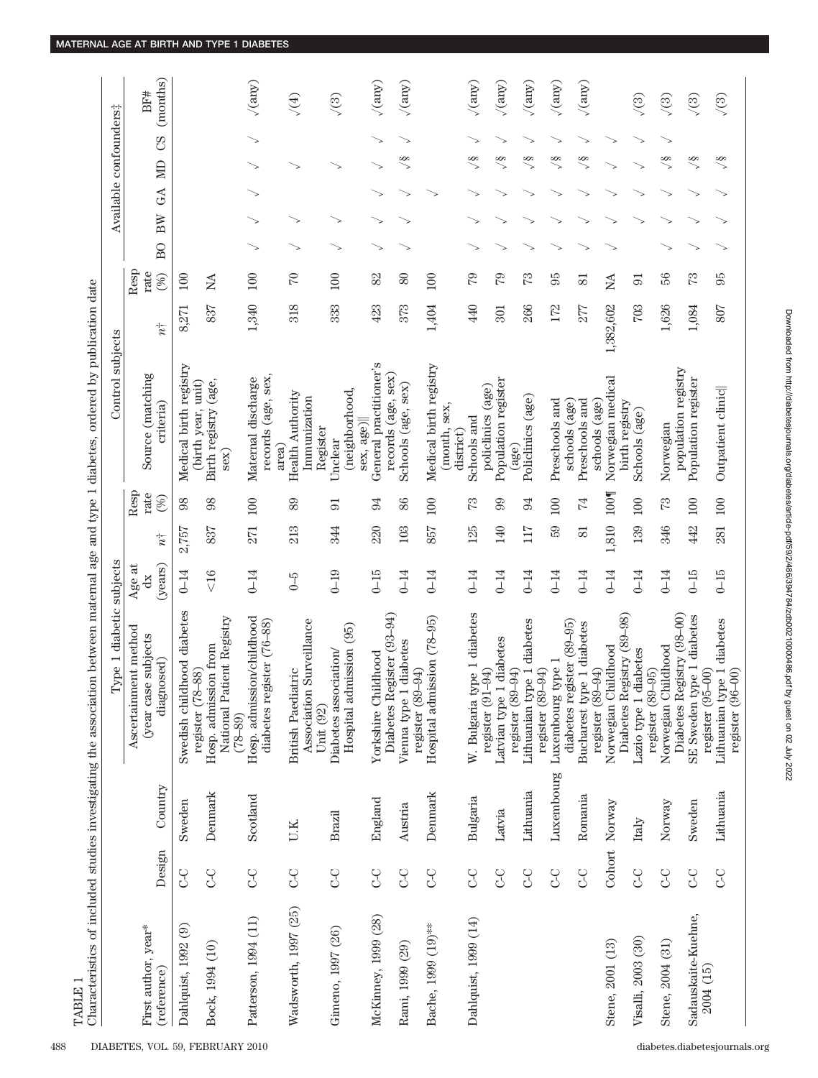|                      |                |            | Characteristics of included studies investigating the association between maternal age and type 1 diabetes, ordered by publication date |            |       |                |                                                           |                |                |                |    |                                    |                |                       |
|----------------------|----------------|------------|-----------------------------------------------------------------------------------------------------------------------------------------|------------|-------|----------------|-----------------------------------------------------------|----------------|----------------|----------------|----|------------------------------------|----------------|-----------------------|
| First author, year*  |                |            | Type 1 diabetic subjects<br>Ascertainment method<br>subjects<br>(year case                                                              | Age at     |       | Resp<br>rate   | Control subjects<br>Source (matching                      |                | Resp<br>rate   |                |    | Available confounders‡             |                | <b>BF#</b>            |
| (reference)          | Design         | Country    | diagnosed)                                                                                                                              | (years)    | $n+$  | (%)            | criteria)                                                 | n <sup>†</sup> | (%)            | $\overline{B}$ | BW | $\sum_{i=1}^{n}$<br>$\mathbb{C}^4$ | 8 <sub>C</sub> | (months)              |
| Dahlquist, 1992 (9)  | C <sub>C</sub> | Sweden     | Swedish childhood diabetes<br>88)<br>register (78-                                                                                      | $0 - 14$   | 2,757 | 98             | Medical birth registry<br>(birth year, unit)              | 8,271          | 100            |                |    |                                    |                |                       |
| Bock, 1994 (10)      | C-C            | Denmark    | National Patient Registry<br>Hosp. admission from<br>$(78 - 89)$                                                                        | $<16$      | 837   | 98             | Birth registry (age,<br>sex)                              | 837            | ÁN             |                |    |                                    |                |                       |
| Patterson, 1994 (11) | 9<br>U         | Scotland   | Hosp. admission/childhood<br>diabetes register (76-88)                                                                                  | $0 - 14$   | 271   | 100            | records (age, sex,<br>Maternal discharge                  | 1,340          | 100            |                |    |                                    |                | $\sqrt{(\text{any})}$ |
| Wadsworth, 1997 (25) | C              | U.K.       | Association Surveillance<br><b>British Paediatric</b><br>Unit (92)                                                                      | $\zeta$ -0 | 213   | 89             | Health Authority<br>Immunization<br>Register<br>area      | 318            | $\sqrt{2}$     |                |    |                                    |                | $\left( 4\right)$     |
| Gimeno, 1997 (26)    | C-C            | Brazil     | Hospital admission (95)<br>Diabetes association/                                                                                        | $0 - 19$   | 344   | $\overline{5}$ | (neighborhood,<br>Unclear                                 | 333            | 100            |                |    |                                    |                | (3)                   |
| McKinney, 1999 (28)  | C-C            | England    | Diabetes Register (93-94)<br>Yorkshire Childhood                                                                                        | $0-15$     | 220   | 94             | General practitioner's<br>records (age, sex)<br>sex, age) | 423            | 82             |                |    |                                    |                | /(any)                |
| Rami, 1999 (29)      | C <sub>C</sub> | Austria    | Vienna type 1 diabetes                                                                                                                  | $0 - 14$   | 103   | 86             | Schools (age, sex)                                        | 373            | 80             |                |    |                                    | ∞              | $\sqrt{(\text{any})}$ |
| Bache, 1999 (19)**   | 9<br>C         | Denmark    | Hospital admission (78-95)<br>register (89-94)                                                                                          | $0 - 14$   | 857   | 100            | Medical birth registry<br>(month, sex,                    | 1,404          | 100            |                |    |                                    |                |                       |
| Dahlquist, 1999 (14) | C-C            | Bulgaria   | W. Bulgaria type 1 diabetes                                                                                                             | $0 - 14$   | 125   | 73             | Schools and<br>district)                                  | 440            | 62             |                |    |                                    | S              | /(any)                |
|                      | 9<br>C         | Latvia     | diabetes<br>$register(91-94)$<br>Latvian type 1                                                                                         | $0 - 14$   | 140   | 99             | Population register<br>policlinics (age)                  | 301            | 62             |                |    |                                    | တ              | $\sqrt{\text{(any)}}$ |
|                      | 9<br>U         | Lithuania  | Lithuanian type 1 diabetes<br>register (89-94)                                                                                          | $0 - 14$   | 117   | 34             | Policlinics (age)<br>(age)                                | 266            | 73             |                |    |                                    | ∞              | $\sqrt{(\text{any})}$ |
|                      | 9<br>U         | Luxembourg | Luxembourg type 1<br>register (89-94)                                                                                                   | $0 - 14$   | 59    | 100            | Preschools and                                            | 172            | 95             |                |    |                                    | ∞              | $\sqrt{(\text{any})}$ |
|                      | C <sub>C</sub> | Romania    | diabetes register (89-95)<br>Bucharest type 1 diabetes                                                                                  | $0 - 14$   | 81    | 74             | Preschools and<br>schools (age)                           | 277            | 81             |                |    |                                    | s              | $\sqrt{\text{(any)}}$ |
| Stene, 2001 (13)     | Cohort         | Norway     | Norwegian Childhood<br>register (89-94)                                                                                                 | $0 - 14$   | 1,810 | 1001           | Norwegian medical<br>schools (age)                        | 1,382,602      | ΧA             |                |    |                                    |                |                       |
| Visalli, 2003 (30)   | 9<br>C         | Italy      | Diabetes Registry (89-98)<br>Lazio type 1 diabetes                                                                                      | $0 - 14$   | 139   | 100            | birth registry<br>Schools (age)                           | 703            | $\overline{5}$ |                |    |                                    |                | $\odot$               |
| Stene, 2004 (31)     | C-C            | Norway     | Norwegian Childhood<br>register (89-95)                                                                                                 | $0 - 14$   | 346   | 73             | Norwegian                                                 | $1,626$        | 56             |                |    |                                    | Š              | ි                     |
| Sadauskaite-Kuehne,  | 9<br>C         | Sweden     | Diabetes Registry (98-00)<br>SE Sweden type 1 diabetes                                                                                  | $0 - 15$   | 442   | $100\,$        | population registry<br>Population register                | 1,084          | $\mathbb{S}^2$ |                |    |                                    | တ              | ි                     |
| 2004 (15)            | C <sub>C</sub> | Lithuania  | Lithuanian type 1 diabetes<br>register (96–00)<br>register (95-00)                                                                      | $0 - 15$   | 281   | 100            | Outpatient clinic                                         | 807            | 95             |                |    |                                    | တ              | (3)                   |

TABLE 1

TABLE 1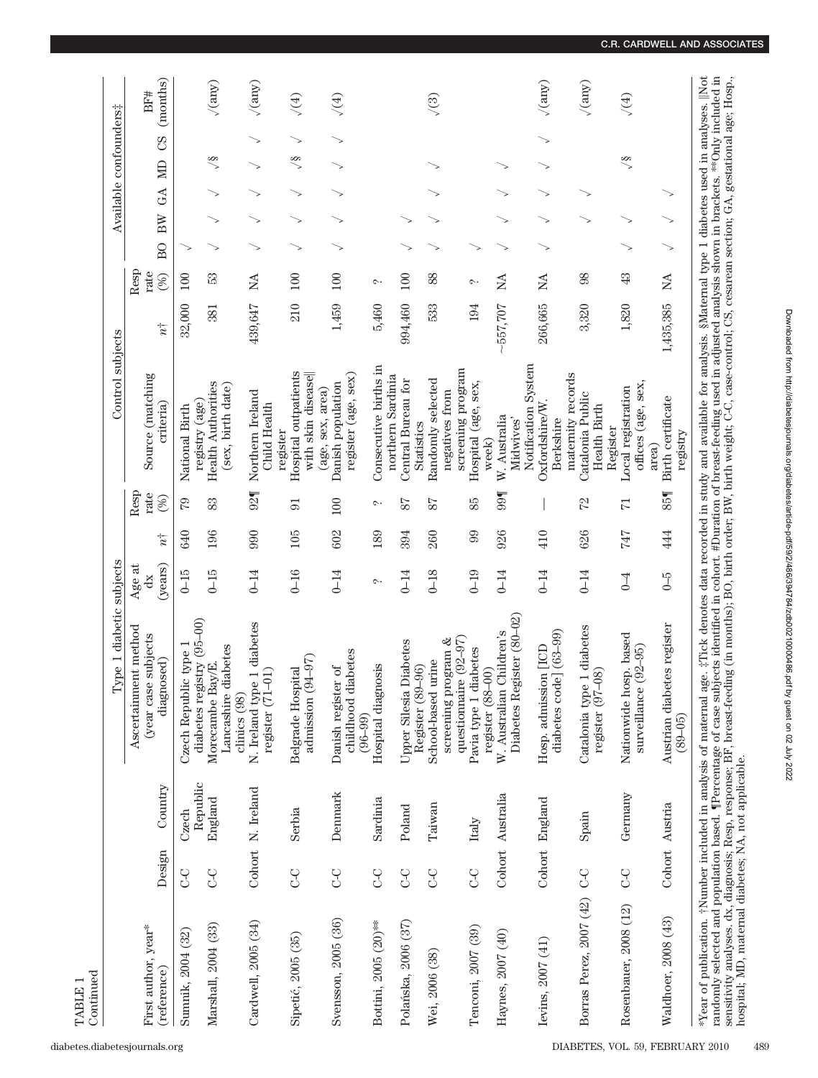| Continued<br>TABLE 1                                              |                |                     |                                                                                                                                                                                                                                                                                                                                                                                                                            |                         |            |                     |                                                                                                                       |             |                     |                 |    |       |                        |                        |
|-------------------------------------------------------------------|----------------|---------------------|----------------------------------------------------------------------------------------------------------------------------------------------------------------------------------------------------------------------------------------------------------------------------------------------------------------------------------------------------------------------------------------------------------------------------|-------------------------|------------|---------------------|-----------------------------------------------------------------------------------------------------------------------|-------------|---------------------|-----------------|----|-------|------------------------|------------------------|
|                                                                   |                |                     | Type 1 diabetic subjects                                                                                                                                                                                                                                                                                                                                                                                                   |                         |            |                     | Control subjects                                                                                                      |             |                     |                 |    |       | Available confounders‡ |                        |
| First author, year*<br>(reference)                                | Design         | Country             | Ascertainment method<br>subjects<br>diagnosed)<br>(year case                                                                                                                                                                                                                                                                                                                                                               | (years)<br>Age at<br>ďx | $n\dagger$ | Resp<br>rate<br>(%) | Source (matching<br>$\operatorname{criterion}$                                                                        | $n_{\rm T}$ | Resp<br>rate<br>(%) | $\overline{B}0$ | BW | GA MD | C <sub>S</sub>         | (months)<br><b>BF#</b> |
| Sunnik, 2004 (32)                                                 | 9<br>U         | Czech               | Czech Republic type 1                                                                                                                                                                                                                                                                                                                                                                                                      | $0 - 15$                | 640        | 67                  | National Birth                                                                                                        | 32,000      | 100                 |                 |    |       |                        |                        |
| Marshall, 2004 (33)                                               | C-C            | Republic<br>England | diabetes registry (95-00)<br>Lancashire diabetes<br>Morecambe Bay/E.<br>clinics (98)                                                                                                                                                                                                                                                                                                                                       | $0 - 15$                | 196        | 83                  | <b>Health Authorities</b><br>(sex, birth date)<br>registry (age)                                                      | 381         | B <sub>3</sub>      |                 |    |       | $\frac{8}{3}$          | $\sqrt{(\text{any})}$  |
| Cardwell, 2005 (34)                                               |                | Cohort N. Ireland   | 1 diabetes<br>register $(71-01)$<br>N. Ireland type                                                                                                                                                                                                                                                                                                                                                                        | $0 - 14$                | 990        | 92¶                 | Northern Ireland<br>Child Health<br>register                                                                          | 439,647     | ÁN                  |                 |    |       |                        | $\sqrt{(\text{any})}$  |
| Sipetić, 2005 (35)                                                | C <sub>C</sub> | Serbia              | admission (94-97)<br>Belgrade Hospital                                                                                                                                                                                                                                                                                                                                                                                     | $0 - 16$                | 105        | $\overline{5}$      | Hospital outpatients<br>with skin disease<br>(age, sex, area)                                                         | 210         | 100                 |                 |    |       | $\frac{8}{3}$          | $\sqrt{(4)}$           |
| Svensson, 2005 (36)                                               | C <sub>C</sub> | Denmark             | childhood diabetes<br>Danish register of<br>$(96 - 99)$                                                                                                                                                                                                                                                                                                                                                                    | $0 - 14$                | 602        | 100                 | register (age, sex)<br>Danish population                                                                              | 1,459       | 100                 |                 |    |       |                        | (4)                    |
| Bottini, 2005 (20)***                                             | C-C            | Sardinia            | Hospital diagnosis                                                                                                                                                                                                                                                                                                                                                                                                         | $\sim$                  | 189        | $\sim$              | Consecutive births in<br>northern Sardinia                                                                            | 5,460       | $\sim$              |                 |    |       |                        |                        |
| Polańska, 2006 (37)                                               | C <sub>C</sub> | Poland              | Upper Silesia Diabetes<br>Register (89-96)                                                                                                                                                                                                                                                                                                                                                                                 | $0 - 14$                | 394        | 78                  | Central Bureau for<br>Statistics                                                                                      | 994,460     | 100                 |                 |    |       |                        |                        |
| Wei, 2006 (38)                                                    | C              | Taiwan              | School-based urine                                                                                                                                                                                                                                                                                                                                                                                                         | $0 - 18$                | 260        | 78                  | Randomly selected                                                                                                     | 533         | 88                  |                 |    |       |                        | $\binom{3}{2}$         |
| Tenconi, 2007 (39)                                                | C-C            | $\mbox{Italy}$      | questionnaire $(92-97)$<br>screening program &<br>Pavia type 1 diabetes                                                                                                                                                                                                                                                                                                                                                    | $0 - 19$                | 99         | 85                  | screening program<br>Hospital (age, sex,<br>negatives from                                                            | 194         | ç.                  |                 |    |       |                        |                        |
| Haynes, 2007 (40)                                                 |                | Cohort Australia    | W. Australian Children's<br>$\widehat{0}$<br>register (88-                                                                                                                                                                                                                                                                                                                                                                 | $0 - 14$                | 926        | 99¶                 | W. Australia<br>week)                                                                                                 | ~101/292    | Ź                   |                 |    |       |                        |                        |
|                                                                   |                |                     | Diabetes Register (80-02)                                                                                                                                                                                                                                                                                                                                                                                                  |                         |            |                     | Notification System<br>Midwives'                                                                                      |             |                     |                 |    |       |                        |                        |
| Ievins, 2007 (41)                                                 |                | Cohort England      | diabetes code] (63-99)<br>Hosp. admission [ICD                                                                                                                                                                                                                                                                                                                                                                             | $0 - 14$                | 410        |                     | Oxfordshire/W<br>Berkshire                                                                                            | 266,665     | Á                   |                 |    |       |                        | $\sqrt{(\text{any})}$  |
| Borras Perez, 2007 (42) C-C                                       |                | Spain               | Catalonia type 1 diabetes<br>register (97-08)                                                                                                                                                                                                                                                                                                                                                                              | $0 - 14$                | 626        | 22                  | matemity records<br>Catalonia Public<br><b>Health Birth</b><br>Register                                               | 3,320       | 88                  |                 |    |       |                        | $\sqrt{(\text{any})}$  |
| Rosenbauer, 2008 (12)                                             | C <sub>C</sub> | Germany             | Nationwide hosp. based<br>$(92 - 95)$<br>surveillance                                                                                                                                                                                                                                                                                                                                                                      | $\overline{1}$          | 747        | $\overline{7}$      | offices (age, sex,<br>Local registration                                                                              | $1,\!820$   | $\ddot{ }$          |                 |    |       | $\frac{8}{3}$          | (4)                    |
| Waldhoer, 2008 (43)                                               |                | Cohort Austria      | Austrian diabetes register<br>$(89 - 05)$                                                                                                                                                                                                                                                                                                                                                                                  | $\tilde{c}$             | 44         | 851                 | Birth certificate<br>registry<br>area)                                                                                | 1,435,385   | ŃN                  |                 |    |       |                        |                        |
| *Year of publication. †Number included in analysis of maternal ag |                |                     | randomly selected and population based. TPercentage of case subjects identified in cohort. #Duration of breast-feeding used in adjusted analysis shown in brackets. **Only included in<br>sensitivity analyses. dx, diagnosis; Resp, response; BF, breast-feeding (in months); BO, birth order; BW, birth weight; C-C, case-control; CS, cesarean section; GA, gestational age; Hosp.,<br>hospital; MD, maternal diabetes; |                         |            |                     | e. ‡Tick denotes data recorded in study and available for analysis. §Maternal type 1 diabetes used in analyses.   Not |             |                     |                 |    |       |                        |                        |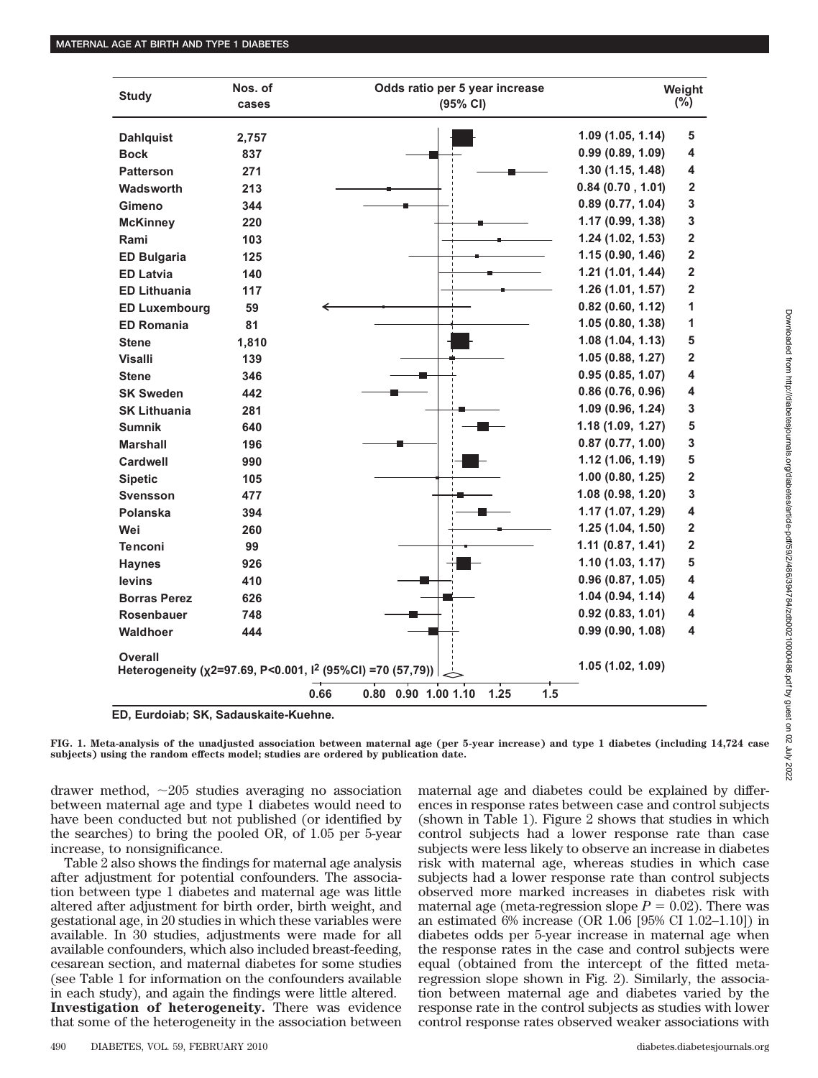| <b>Study</b>         | Nos. of<br>cases | Odds ratio per 5 year increase<br>(95% CI)                                                                                               | Weight<br>$(\frac{9}{6})$ |
|----------------------|------------------|------------------------------------------------------------------------------------------------------------------------------------------|---------------------------|
| <b>Dahlquist</b>     | 2,757            | 1.09(1.05, 1.14)                                                                                                                         | 5                         |
| <b>Bock</b>          | 837              | 0.99(0.89, 1.09)                                                                                                                         | 4                         |
| <b>Patterson</b>     | 271              | 1.30 (1.15, 1.48)                                                                                                                        | 4                         |
| Wadsworth            | 213              | 0.84(0.70, 1.01)                                                                                                                         | $\overline{\mathbf{2}}$   |
| Gimeno               | 344              | 0.89(0.77, 1.04)                                                                                                                         | 3                         |
| <b>McKinney</b>      | 220              | 1.17(0.99, 1.38)                                                                                                                         | 3                         |
| Rami                 | 103              | 1.24(1.02, 1.53)                                                                                                                         | $\overline{\mathbf{2}}$   |
| <b>ED Bulgaria</b>   | 125              | 1.15(0.90, 1.46)                                                                                                                         | $\overline{\mathbf{2}}$   |
| <b>ED Latvia</b>     | 140              | 1.21 (1.01, 1.44)                                                                                                                        | $\overline{\mathbf{2}}$   |
| <b>ED Lithuania</b>  | 117              | 1.26 (1.01, 1.57)                                                                                                                        | $\overline{2}$            |
| <b>ED Luxembourg</b> | 59               | 0.82(0.60, 1.12)                                                                                                                         | 1                         |
| <b>ED Romania</b>    | 81               | 1.05(0.80, 1.38)                                                                                                                         | 1                         |
| <b>Stene</b>         | 1,810            | 1.08(1.04, 1.13)                                                                                                                         | 5                         |
| <b>Visalli</b>       | 139              | 1.05 (0.88, 1.27)                                                                                                                        | $\overline{\mathbf{2}}$   |
| <b>Stene</b>         | 346              | 0.95(0.85, 1.07)                                                                                                                         | 4                         |
| <b>SK Sweden</b>     | 442              | 0.86(0.76, 0.96)                                                                                                                         | 4                         |
| <b>SK Lithuania</b>  | 281              | 1.09 (0.96, 1.24)                                                                                                                        | 3                         |
| <b>Sumnik</b>        | 640              | 1.18 (1.09, 1.27)                                                                                                                        | 5                         |
| <b>Marshall</b>      | 196              | 0.87(0.77, 1.00)                                                                                                                         | 3                         |
| Cardwell             | 990              | 1.12 (1.06, 1.19)                                                                                                                        | 5                         |
| <b>Sipetic</b>       | 105              | 1.00(0.80, 1.25)                                                                                                                         | $\overline{\mathbf{2}}$   |
| <b>Svensson</b>      | 477              | 1.08 (0.98, 1.20)                                                                                                                        | 3                         |
| Polanska             | 394              | 1.17(1.07, 1.29)                                                                                                                         | 4                         |
| Wei                  | 260              | 1.25(1.04, 1.50)                                                                                                                         | $\mathbf 2$               |
| <b>Tenconi</b>       | 99               | 1.11(0.87, 1.41)                                                                                                                         | $\mathbf 2$               |
| <b>Haynes</b>        | 926              | 1.10(1.03, 1.17)                                                                                                                         | 5                         |
| levins               | 410              | 0.96(0.87, 1.05)                                                                                                                         | 4                         |
| <b>Borras Perez</b>  | 626              | 1.04 (0.94, 1.14)                                                                                                                        | 4                         |
| <b>Rosenbauer</b>    | 748              | 0.92(0.83, 1.01)                                                                                                                         | 4                         |
| Waldhoer             | 444              | 0.99(0.90, 1.08)                                                                                                                         | 4                         |
| Overall              |                  | 1.05 (1.02, 1.09)<br>Heterogeneity (x2=97.69, P<0.001, l <sup>2</sup> (95%CI) =70 (57,79))<br>0.66<br>0.80 0.90 1.00 1.10<br>1.25<br>1.5 |                           |
|                      |                  |                                                                                                                                          |                           |

Downloaded from http://diabetesjournals.org/diabetes/article-pdf/59/2/486/394784/zdb00210000486.pdf by guest on 02 July 2022 Downloaded from http://diabetesjournals.org/diabetes/article-pdf/59/2/486/394784/zdb00210000486.pdf by guest on 02 July 2022

**ED, Eurdoiab; SK, Sadauskaite-Kuehne.**

**FIG. 1. Meta-analysis of the unadjusted association between maternal age (per 5-year increase) and type 1 diabetes (including 14,724 case subjects) using the random effects model; studies are ordered by publication date.**

drawer method,  $\sim$ 205 studies averaging no association between maternal age and type 1 diabetes would need to have been conducted but not published (or identified by the searches) to bring the pooled OR, of 1.05 per 5-year increase, to nonsignificance.

Table 2 also shows the findings for maternal age analysis after adjustment for potential confounders. The association between type 1 diabetes and maternal age was little altered after adjustment for birth order, birth weight, and gestational age, in 20 studies in which these variables were available. In 30 studies, adjustments were made for all available confounders, which also included breast-feeding, cesarean section, and maternal diabetes for some studies (see Table 1 for information on the confounders available in each study), and again the findings were little altered. **Investigation of heterogeneity.** There was evidence that some of the heterogeneity in the association between

maternal age and diabetes could be explained by differences in response rates between case and control subjects (shown in Table 1). Figure 2 shows that studies in which control subjects had a lower response rate than case subjects were less likely to observe an increase in diabetes risk with maternal age, whereas studies in which case subjects had a lower response rate than control subjects observed more marked increases in diabetes risk with maternal age (meta-regression slope  $P = 0.02$ ). There was an estimated 6% increase (OR 1.06 [95% CI 1.02–1.10]) in diabetes odds per 5-year increase in maternal age when the response rates in the case and control subjects were equal (obtained from the intercept of the fitted metaregression slope shown in Fig. 2). Similarly, the association between maternal age and diabetes varied by the response rate in the control subjects as studies with lower control response rates observed weaker associations with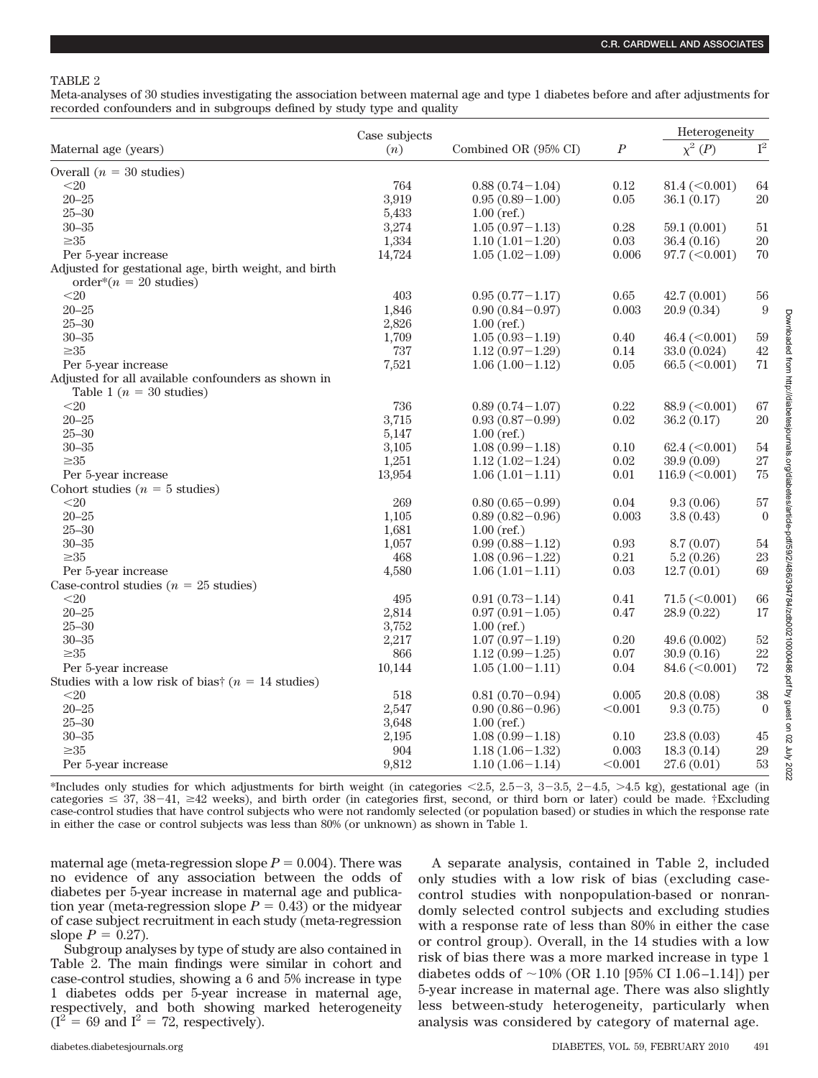## TABLE 2

Meta-analyses of 30 studies investigating the association between maternal age and type 1 diabetes before and after adjustments for recorded confounders and in subgroups defined by study type and quality

|                                                                  | Case subjects |                      |                  | Heterogeneity                     |                |
|------------------------------------------------------------------|---------------|----------------------|------------------|-----------------------------------|----------------|
| Maternal age (years)                                             | (n)           | Combined OR (95% CI) | $\boldsymbol{P}$ | $\chi^2(P)$                       | ${\rm I}^2$    |
| Overall $(n = 30$ studies)                                       |               |                      |                  |                                   |                |
| $< \! 20$                                                        | 764           | $0.88(0.74-1.04)$    | 0.12             | $81.4 \; (<0.001)$                | 64             |
| $20 - 25$                                                        | 3,919         | $0.95(0.89-1.00)$    | $0.05\,$         | 36.1(0.17)                        | 20             |
| $25 - 30$                                                        | 5,433         | $1.00$ (ref.)        |                  |                                   |                |
| $30 - 35$                                                        | 3,274         | $1.05(0.97-1.13)$    | 0.28             | 59.1(0.001)                       | 51             |
| $\geq 35$                                                        | 1,334         | $1.10(1.01-1.20)$    | 0.03             | 36.4(0.16)                        | $20\,$         |
| Per 5-year increase                                              | 14,724        | $1.05(1.02-1.09)$    | 0.006            | $97.7 \, (\leq 0.001)$            | 70             |
| Adjusted for gestational age, birth weight, and birth            |               |                      |                  |                                   |                |
| order* $(n = 20$ studies)                                        |               |                      |                  |                                   |                |
| $<$ 20                                                           | 403           | $0.95(0.77-1.17)$    | 0.65             | 42.7(0.001)                       | 56             |
| $20 - 25$                                                        | 1,846         | $0.90(0.84 - 0.97)$  | 0.003            | 20.9(0.34)                        | 9              |
| $25 - 30$                                                        | 2,826         | $1.00$ (ref.)        |                  |                                   |                |
| $30 - 35$                                                        | 1,709         | $1.05(0.93-1.19)$    | 0.40             | $46.4 \left( \leq 0.001 \right)$  | 59             |
| $\geq 35$                                                        | 737           | $1.12(0.97-1.29)$    | 0.14             | 33.0(0.024)                       | $42\,$         |
| Per 5-year increase                                              | 7,521         | $1.06(1.00-1.12)$    | 0.05             | $66.5 \approx (0.001)$            | 71             |
| Adjusted for all available confounders as shown in               |               |                      |                  |                                   |                |
| Table 1 ( $n = 30$ studies)                                      |               |                      |                  |                                   |                |
| $<$ 20                                                           | 736           |                      |                  |                                   |                |
|                                                                  |               | $0.89(0.74-1.07)$    | 0.22             | $88.9$ (<0.001)                   | 67             |
| $20 - 25$                                                        | 3,715         | $0.93(0.87-0.99)$    | 0.02             | 36.2 (0.17)                       | $20\,$         |
| $25 - 30$                                                        | 5,147         | $1.00$ (ref.)        |                  |                                   |                |
| $30 - 35$                                                        | 3,105         | $1.08(0.99-1.18)$    | 0.10             | $62.4 \left( \leq 0.001 \right)$  | 54             |
| $\geq 35$                                                        | 1,251         | $1.12(1.02 - 1.24)$  | $\rm 0.02$       | 39.9(0.09)                        | 27             |
| Per 5-year increase                                              | 13,954        | $1.06(1.01-1.11)$    | $0.01\,$         | $116.9 \left( \leq 0.001 \right)$ | 75             |
| Cohort studies ( $n = 5$ studies)                                |               |                      |                  |                                   |                |
| $< \! 20$                                                        | 269           | $0.80(0.65-0.99)$    | 0.04             | 9.3(0.06)                         | 57             |
| $20 - 25$                                                        | 1,105         | $0.89(0.82 - 0.96)$  | 0.003            | 3.8(0.43)                         | $\overline{0}$ |
| $25 - 30$                                                        | 1,681         | $1.00$ (ref.)        |                  |                                   |                |
| $30 - 35$                                                        | 1,057         | $0.99(0.88 - 1.12)$  | 0.93             | 8.7(0.07)                         | 54             |
| $\geq 35$                                                        | 468           | $1.08(0.96-1.22)$    | $0.21\,$         | 5.2(0.26)                         | $23\,$         |
| Per 5-year increase                                              | 4,580         | $1.06(1.01-1.11)$    | 0.03             | 12.7(0.01)                        | $69\,$         |
| Case-control studies ( $n = 25$ studies)                         |               |                      |                  |                                   |                |
| $<$ 20                                                           | 495           | $0.91(0.73-1.14)$    | 0.41             | $71.5 \left( \leq 0.001 \right)$  | 66             |
| $20 - 25$                                                        | 2,814         | $0.97(0.91-1.05)$    | 0.47             | 28.9 (0.22)                       | 17             |
| $25 - 30$                                                        | 3,752         | $1.00$ (ref.)        |                  |                                   |                |
| $30 - 35$                                                        | 2,217         | $1.07(0.97-1.19)$    | 0.20             | 49.6(0.002)                       | 52             |
| $\geq 35$                                                        | 866           | $1.12(0.99-1.25)$    | $0.07\,$         | 30.9(0.16)                        | $22\,$         |
| Per 5-year increase                                              | 10,144        | $1.05(1.00-1.11)$    | 0.04             | 84.6 ( $< 0.001$ )                | $72\,$         |
| Studies with a low risk of bias <sup>†</sup> ( $n = 14$ studies) |               |                      |                  |                                   |                |
| $< \! 20$                                                        | 518           | $0.81(0.70-0.94)$    | 0.005            | 20.8(0.08)                        | $38\,$         |
| $20 - 25$                                                        | 2,547         | $0.90(0.86 - 0.96)$  | < 0.001          | 9.3(0.75)                         | $\overline{0}$ |
| $25 - 30$                                                        | 3,648         | $1.00$ (ref.)        |                  |                                   |                |
| $30 - 35$                                                        | 2,195         | $1.08(0.99-1.18)$    | 0.10             | 23.8(0.03)                        | 45             |
| $\geq 35$                                                        | 904           | $1.18(1.06-1.32)$    | 0.003            | 18.3(0.14)                        | $29\,$         |
| Per 5-year increase                                              | 9,812         | $1.10(1.06-1.14)$    | < 0.001          | 27.6(0.01)                        | $53\,$         |
|                                                                  |               |                      |                  |                                   |                |

\*Includes only studies for which adjustments for birth weight (in categories  $\leq 2.5$ ,  $2.5-3$ ,  $3-3.5$ ,  $2-4.5$ ,  $>4.5$  kg), gestational age (in categories  $\leq 37, 38-41, \geq 42$  weeks), and birth order (in categories first, second, or third born or later) could be made. †Excluding case-control studies that have control subjects who were not randomly selected (or population based) or studies in which the response rate in either the case or control subjects was less than 80% (or unknown) as shown in Table 1.

maternal age (meta-regression slope  $P = 0.004$ ). There was no evidence of any association between the odds of diabetes per 5-year increase in maternal age and publication year (meta-regression slope  $P = 0.43$ ) or the midyear of case subject recruitment in each study (meta-regression slope  $P = 0.27$ ).

Subgroup analyses by type of study are also contained in Table 2. The main findings were similar in cohort and case-control studies, showing a 6 and 5% increase in type 1 diabetes odds per 5-year increase in maternal age, respectively, and both showing marked heterogeneity  $(I^2 = 69$  and  $I^2 = 72$ , respectively).

A separate analysis, contained in Table 2, included only studies with a low risk of bias (excluding casecontrol studies with nonpopulation-based or nonrandomly selected control subjects and excluding studies with a response rate of less than 80% in either the case or control group). Overall, in the 14 studies with a low risk of bias there was a more marked increase in type 1 diabetes odds of  $\sim$ 10% (OR 1.10 [95% CI 1.06–1.14]) per 5-year increase in maternal age. There was also slightly less between-study heterogeneity, particularly when analysis was considered by category of maternal age.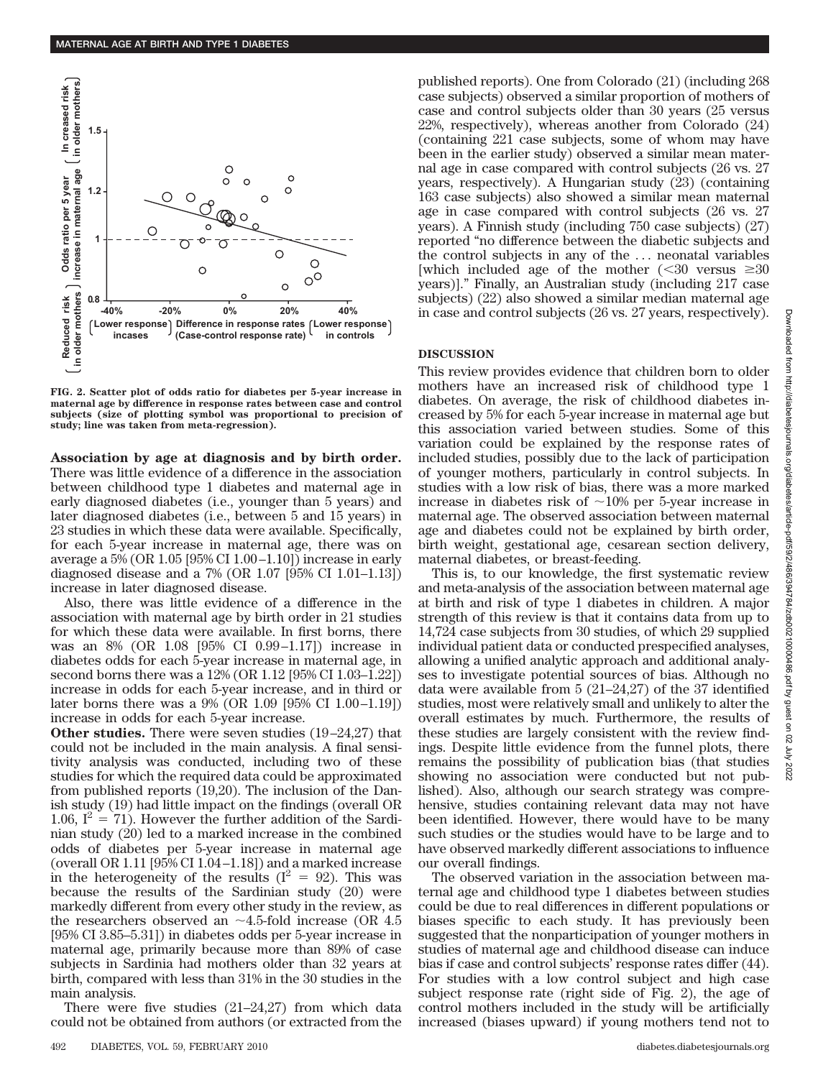

**FIG. 2. Scatter plot of odds ratio for diabetes per 5-year increase in maternal age by difference in response rates between case and control subjects (size of plotting symbol was proportional to precision of study; line was taken from meta-regression).**

**Association by age at diagnosis and by birth order.** There was little evidence of a difference in the association between childhood type 1 diabetes and maternal age in early diagnosed diabetes (i.e., younger than 5 years) and later diagnosed diabetes (i.e., between 5 and 15 years) in 23 studies in which these data were available. Specifically, for each 5-year increase in maternal age, there was on average a 5% (OR 1.05 [95% CI 1.00 –1.10]) increase in early diagnosed disease and a 7% (OR 1.07 [95% CI 1.01–1.13]) increase in later diagnosed disease.

Also, there was little evidence of a difference in the association with maternal age by birth order in 21 studies for which these data were available. In first borns, there was an 8% (OR 1.08 [95% CI 0.99-1.17]) increase in diabetes odds for each 5-year increase in maternal age, in second borns there was a 12% (OR 1.12 [95% CI 1.03–1.22]) increase in odds for each 5-year increase, and in third or later borns there was a 9% (OR 1.09 [95% CI 1.00 –1.19]) increase in odds for each 5-year increase.

**Other studies.** There were seven studies (19–24,27) that could not be included in the main analysis. A final sensitivity analysis was conducted, including two of these studies for which the required data could be approximated from published reports (19,20). The inclusion of the Danish study (19) had little impact on the findings (overall OR 1.06,  $I^2 = 71$ ). However the further addition of the Sardinian study (20) led to a marked increase in the combined odds of diabetes per 5-year increase in maternal age (overall OR 1.11 [95% CI 1.04 –1.18]) and a marked increase in the heterogeneity of the results  $(I^2 = 92)$ . This was because the results of the Sardinian study (20) were markedly different from every other study in the review, as the researchers observed an  $\sim$  4.5-fold increase (OR 4.5) [95% CI 3.85–5.31]) in diabetes odds per 5-year increase in maternal age, primarily because more than 89% of case subjects in Sardinia had mothers older than 32 years at birth, compared with less than 31% in the 30 studies in the main analysis.

There were five studies (21–24,27) from which data could not be obtained from authors (or extracted from the published reports). One from Colorado (21) (including 268 case subjects) observed a similar proportion of mothers of case and control subjects older than 30 years (25 versus 22%, respectively), whereas another from Colorado (24) (containing 221 case subjects, some of whom may have been in the earlier study) observed a similar mean maternal age in case compared with control subjects (26 vs. 27 years, respectively). A Hungarian study (23) (containing 163 case subjects) also showed a similar mean maternal age in case compared with control subjects (26 vs. 27 years). A Finnish study (including 750 case subjects) (27) reported "no difference between the diabetic subjects and the control subjects in any of the . . . neonatal variables [which included age of the mother  $(*30*$  versus  $\geq 30$ years)]." Finally, an Australian study (including 217 case subjects) (22) also showed a similar median maternal age in case and control subjects (26 vs. 27 years, respectively).

#### **DISCUSSION**

This review provides evidence that children born to older mothers have an increased risk of childhood type 1 diabetes. On average, the risk of childhood diabetes increased by 5% for each 5-year increase in maternal age but this association varied between studies. Some of this variation could be explained by the response rates of included studies, possibly due to the lack of participation of younger mothers, particularly in control subjects. In studies with a low risk of bias, there was a more marked increase in diabetes risk of  $\sim$ 10% per 5-year increase in maternal age. The observed association between maternal age and diabetes could not be explained by birth order, birth weight, gestational age, cesarean section delivery, maternal diabetes, or breast-feeding.

This is, to our knowledge, the first systematic review and meta-analysis of the association between maternal age at birth and risk of type 1 diabetes in children. A major strength of this review is that it contains data from up to 14,724 case subjects from 30 studies, of which 29 supplied individual patient data or conducted prespecified analyses, allowing a unified analytic approach and additional analyses to investigate potential sources of bias. Although no data were available from 5 (21–24,27) of the 37 identified studies, most were relatively small and unlikely to alter the overall estimates by much. Furthermore, the results of these studies are largely consistent with the review findings. Despite little evidence from the funnel plots, there remains the possibility of publication bias (that studies showing no association were conducted but not published). Also, although our search strategy was comprehensive, studies containing relevant data may not have been identified. However, there would have to be many such studies or the studies would have to be large and to have observed markedly different associations to influence our overall findings.

The observed variation in the association between maternal age and childhood type 1 diabetes between studies could be due to real differences in different populations or biases specific to each study. It has previously been suggested that the nonparticipation of younger mothers in studies of maternal age and childhood disease can induce bias if case and control subjects' response rates differ (44). For studies with a low control subject and high case subject response rate (right side of Fig. 2), the age of control mothers included in the study will be artificially increased (biases upward) if young mothers tend not to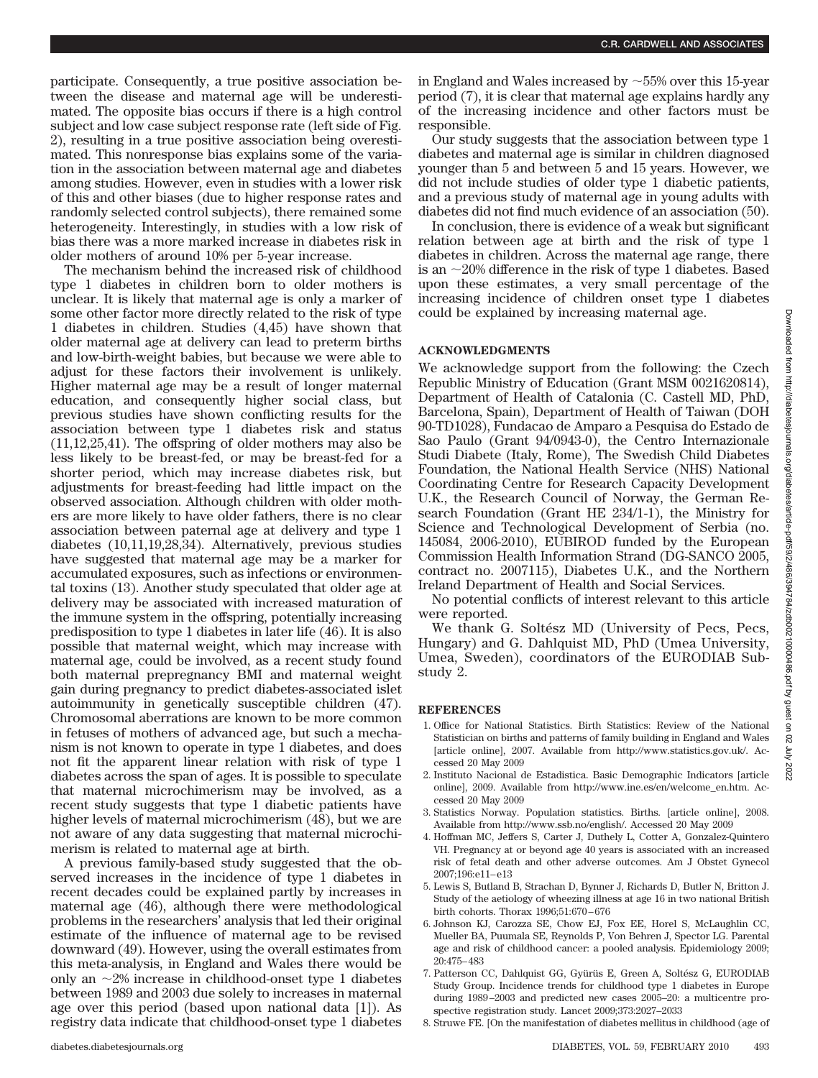participate. Consequently, a true positive association between the disease and maternal age will be underestimated. The opposite bias occurs if there is a high control subject and low case subject response rate (left side of Fig. 2), resulting in a true positive association being overestimated. This nonresponse bias explains some of the variation in the association between maternal age and diabetes among studies. However, even in studies with a lower risk of this and other biases (due to higher response rates and randomly selected control subjects), there remained some heterogeneity. Interestingly, in studies with a low risk of bias there was a more marked increase in diabetes risk in older mothers of around 10% per 5-year increase.

The mechanism behind the increased risk of childhood type 1 diabetes in children born to older mothers is unclear. It is likely that maternal age is only a marker of some other factor more directly related to the risk of type 1 diabetes in children. Studies (4,45) have shown that older maternal age at delivery can lead to preterm births and low-birth-weight babies, but because we were able to adjust for these factors their involvement is unlikely. Higher maternal age may be a result of longer maternal education, and consequently higher social class, but previous studies have shown conflicting results for the association between type 1 diabetes risk and status (11,12,25,41). The offspring of older mothers may also be less likely to be breast-fed, or may be breast-fed for a shorter period, which may increase diabetes risk, but adjustments for breast-feeding had little impact on the observed association. Although children with older mothers are more likely to have older fathers, there is no clear association between paternal age at delivery and type 1 diabetes (10,11,19,28,34). Alternatively, previous studies have suggested that maternal age may be a marker for accumulated exposures, such as infections or environmental toxins (13). Another study speculated that older age at delivery may be associated with increased maturation of the immune system in the offspring, potentially increasing predisposition to type 1 diabetes in later life (46). It is also possible that maternal weight, which may increase with maternal age, could be involved, as a recent study found both maternal prepregnancy BMI and maternal weight gain during pregnancy to predict diabetes-associated islet autoimmunity in genetically susceptible children (47). Chromosomal aberrations are known to be more common in fetuses of mothers of advanced age, but such a mechanism is not known to operate in type 1 diabetes, and does not fit the apparent linear relation with risk of type 1 diabetes across the span of ages. It is possible to speculate that maternal microchimerism may be involved, as a recent study suggests that type 1 diabetic patients have higher levels of maternal microchimerism (48), but we are not aware of any data suggesting that maternal microchimerism is related to maternal age at birth.

A previous family-based study suggested that the observed increases in the incidence of type 1 diabetes in recent decades could be explained partly by increases in maternal age (46), although there were methodological problems in the researchers' analysis that led their original estimate of the influence of maternal age to be revised downward (49). However, using the overall estimates from this meta-analysis, in England and Wales there would be only an  $\sim$ 2% increase in childhood-onset type 1 diabetes between 1989 and 2003 due solely to increases in maternal age over this period (based upon national data [1]). As registry data indicate that childhood-onset type 1 diabetes

in England and Wales increased by  $\sim$  55% over this 15-year period (7), it is clear that maternal age explains hardly any of the increasing incidence and other factors must be responsible.

Our study suggests that the association between type 1 diabetes and maternal age is similar in children diagnosed younger than 5 and between 5 and 15 years. However, we did not include studies of older type 1 diabetic patients, and a previous study of maternal age in young adults with diabetes did not find much evidence of an association (50).

In conclusion, there is evidence of a weak but significant relation between age at birth and the risk of type 1 diabetes in children. Across the maternal age range, there is an  $\sim$ 20% difference in the risk of type 1 diabetes. Based upon these estimates, a very small percentage of the increasing incidence of children onset type 1 diabetes could be explained by increasing maternal age.

## **ACKNOWLEDGMENTS**

We acknowledge support from the following: the Czech Republic Ministry of Education (Grant MSM 0021620814), Department of Health of Catalonia (C. Castell MD, PhD, Barcelona, Spain), Department of Health of Taiwan (DOH 90-TD1028), Fundacao de Amparo a Pesquisa do Estado de Sao Paulo (Grant 94/0943-0), the Centro Internazionale Studi Diabete (Italy, Rome), The Swedish Child Diabetes Foundation, the National Health Service (NHS) National Coordinating Centre for Research Capacity Development U.K., the Research Council of Norway, the German Research Foundation (Grant HE 234/1-1), the Ministry for Science and Technological Development of Serbia (no. 145084, 2006-2010), EUBIROD funded by the European Commission Health Information Strand (DG-SANCO 2005, contract no. 2007115), Diabetes U.K., and the Northern Ireland Department of Health and Social Services.

No potential conflicts of interest relevant to this article were reported.

We thank G. Soltész MD (University of Pecs, Pecs, Hungary) and G. Dahlquist MD, PhD (Umea University, Umea, Sweden), coordinators of the EURODIAB Substudy 2.

#### **REFERENCES**

- 1. Office for National Statistics. Birth Statistics: Review of the National Statistician on births and patterns of family building in England and Wales [article online], 2007. Available from http://www.statistics.gov.uk/. Accessed 20 May 2009
- 2. Instituto Nacional de Estadistica. Basic Demographic Indicators [article online], 2009. Available from http://www.ine.es/en/welcome\_en.htm. Accessed 20 May 2009
- 3. Statistics Norway. Population statistics. Births. [article online], 2008. Available from http://www.ssb.no/english/. Accessed 20 May 2009
- 4. Hoffman MC, Jeffers S, Carter J, Duthely L, Cotter A, Gonzalez-Quintero VH. Pregnancy at or beyond age 40 years is associated with an increased risk of fetal death and other adverse outcomes. Am J Obstet Gynecol 2007;196:e11– e13
- 5. Lewis S, Butland B, Strachan D, Bynner J, Richards D, Butler N, Britton J. Study of the aetiology of wheezing illness at age 16 in two national British birth cohorts. Thorax 1996;51:670 – 676
- 6. Johnson KJ, Carozza SE, Chow EJ, Fox EE, Horel S, McLaughlin CC, Mueller BA, Puumala SE, Reynolds P, Von Behren J, Spector LG. Parental age and risk of childhood cancer: a pooled analysis. Epidemiology 2009; 20:475– 483
- 7. Patterson CC, Dahlquist GG, Gyürüs E, Green A, Soltész G, EURODIAB Study Group. Incidence trends for childhood type 1 diabetes in Europe during 1989 –2003 and predicted new cases 2005–20: a multicentre prospective registration study. Lancet 2009;373:2027–2033
- 8. Struwe FE. [On the manifestation of diabetes mellitus in childhood (age of